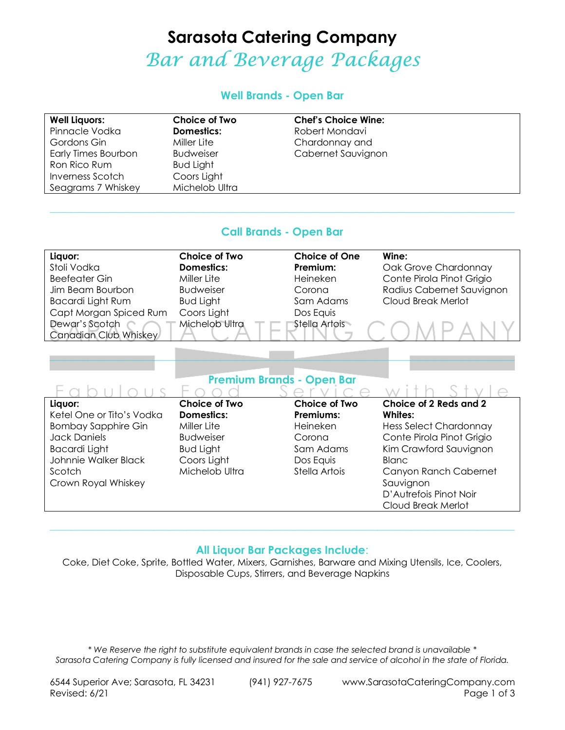# **Sarasota Catering Company**  Bar and Beverage Packages

#### **Well Brands - Open Bar**

| <b>Well Liquors:</b> | Choice of Two    | <b>Chef's Choice Wine:</b> |
|----------------------|------------------|----------------------------|
| Pinnacle Vodka       | Domestics:       | Robert Mondavi             |
| Gordons Gin          | Miller Lite      | Chardonnay and             |
| Early Times Bourbon  | <b>Budweiser</b> | Cabernet Sauvignon         |
| Ron Rico Rum         | <b>Bud Light</b> |                            |
| Inverness Scotch     | Coors Light      |                            |
| Seagrams 7 Whiskey   | Michelob Ultra   |                            |

#### **Call Brands - Open Bar**

 $\_$  , and the state of the state of the state of the state of the state of the state of the state of the state of the state of the state of the state of the state of the state of the state of the state of the state of the

| Liquor:                | <b>Choice of Two</b> | <b>Choice of One</b> | Wine:                     |
|------------------------|----------------------|----------------------|---------------------------|
| Stoli Vodka            | <b>Domestics:</b>    | Premium:             | Oak Grove Chardonnay      |
| <b>Beefeater Gin</b>   | Miller Lite          | Heineken             | Conte Pirola Pinot Grigio |
| Jim Beam Bourbon       | <b>Budweiser</b>     | Corona               | Radius Cabernet Sauvignon |
| Bacardi Light Rum      | <b>Bud Light</b>     | Sam Adams            | Cloud Break Merlot        |
| Capt Morgan Spiced Rum | Coors Light          | Dos Equis            |                           |
| Dewar's Scotch         | Michelob Ultra       | Stella Artois        |                           |
| Canadian Club Whiskey  |                      |                      |                           |

### **Premium Brands - Open Bar**

\_\_\_\_\_\_\_\_\_\_\_\_\_\_\_\_\_\_\_\_\_\_\_\_\_\_\_\_\_\_\_\_\_\_\_\_\_\_\_\_\_\_\_\_\_\_\_\_\_\_\_\_\_\_\_\_\_\_\_\_\_\_\_\_\_\_\_\_\_\_\_\_\_\_\_\_\_\_\_\_\_\_\_\_\_\_\_\_\_\_\_\_\_\_\_\_\_\_\_\_\_\_\_\_\_\_\_\_\_\_\_\_

| Liquor:                    | <b>Choice of Two</b> | <b>Choice of Two</b> | Choice of 2 Reds and 2        |
|----------------------------|----------------------|----------------------|-------------------------------|
| Ketel One or Tito's Vodka  | Domestics:           | Premiums:            | Whites:                       |
| <b>Bombay Sapphire Gin</b> | Miller Lite          | Heineken             | <b>Hess Select Chardonnay</b> |
| <b>Jack Daniels</b>        | <b>Budweiser</b>     | Corona               | Conte Pirola Pinot Grigio     |
| <b>Bacardi Light</b>       | <b>Bud Light</b>     | Sam Adams            | Kim Crawford Sauvignon        |
| Johnnie Walker Black       | Coors Light          | Dos Equis            | Blanc                         |
| Scotch                     | Michelob Ultra       | Stella Artois        | Canyon Ranch Cabernet         |
| Crown Royal Whiskey        |                      |                      | Sauvignon                     |
|                            |                      |                      | D'Autrefois Pinot Noir        |
|                            |                      |                      | Cloud Break Merlot            |

#### **All Liquor Bar Packages Include**:

 $\_$  , and the state of the state of the state of the state of the state of the state of the state of the state of the state of the state of the state of the state of the state of the state of the state of the state of the

Coke, Diet Coke, Sprite, Bottled Water, Mixers, Garnishes, Barware and Mixing Utensils, Ice, Coolers, Disposable Cups, Stirrers, and Beverage Napkins

*\* We Reserve the right to substitute equivalent brands in case the selected brand is unavailable \* Sarasota Catering Company is fully licensed and insured for the sale and service of alcohol in the state of Florida.* 

 $-1 - 1$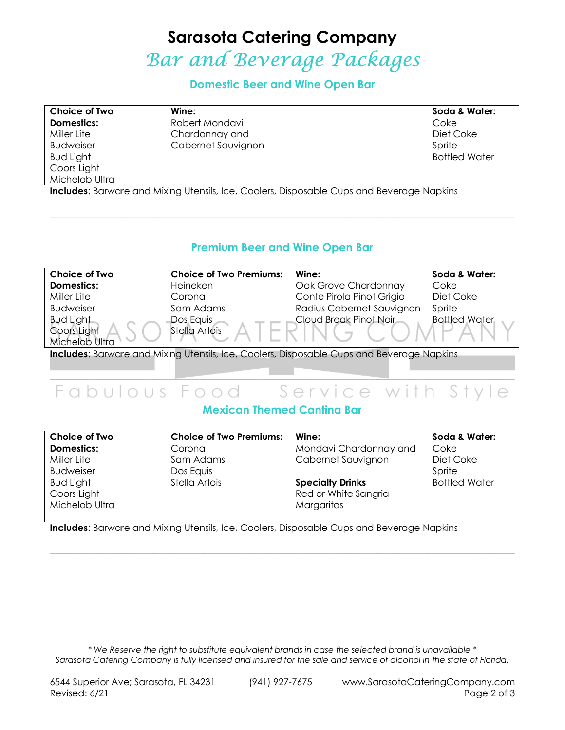# **Sarasota Catering Company**  Bar and Beverage Packages

**Domestic Beer and Wine Open Bar** 

**Choice of Two Domestics:**  Miller Lite Budweiser Bud Light Coors Light Michelob Ultra **Wine:**  Robert Mondavi Chardonnay and Cabernet Sauvignon **Soda & Water:**  Coke Diet Coke Sprite Bottled Water

**Includes**: Barware and Mixing Utensils, Ice, Coolers, Disposable Cups and Beverage Napkins

#### **Premium Beer and Wine Open Bar**

 $\_$  , and the state of the state of the state of the state of the state of the state of the state of the state of the state of the state of the state of the state of the state of the state of the state of the state of the

| <b>Choice of Two</b> | <b>Choice of Two Premiums:</b> | Wine:                     | Soda & Water:        |
|----------------------|--------------------------------|---------------------------|----------------------|
| <b>Domestics:</b>    | Heineken                       | Oak Grove Chardonnay      | Coke                 |
| Miller Lite          | Corona                         | Conte Pirola Pinot Grigio | Diet Coke            |
| <b>Budweiser</b>     | Sam Adams                      | Radius Cabernet Sauvignon | Sprite               |
| <b>Bud Light</b>     | Dos Equis                      | Cloud Break Pinot Noir    | <b>Bottled Water</b> |
| Coors Light          | Stella Artois                  |                           |                      |
| Michelob Ultra       |                                |                           |                      |
|                      |                                |                           |                      |

**Includes**: Barware and Mixing Utensils, Ice, Coolers, Disposable Cups and Beverage Napkins

### \_\_\_\_\_\_\_\_\_\_\_\_\_\_\_\_\_\_\_\_\_\_\_\_\_\_\_\_\_\_\_\_\_\_\_\_\_\_\_\_\_\_\_\_\_\_\_\_\_\_\_\_\_\_\_\_\_\_\_\_\_\_\_\_\_\_\_\_\_\_\_\_\_\_\_\_\_\_\_\_\_\_\_\_\_\_\_\_\_\_\_\_\_\_\_\_\_\_\_\_\_\_\_\_\_\_\_\_\_\_\_\_ Fabulous Food Service with Style

### **Mexican Themed Cantina Bar**

| Choice of Two    | <b>Choice of Two Premiums:</b> | Wine:                   | Soda & Water:        |
|------------------|--------------------------------|-------------------------|----------------------|
| Domestics:       | Corona                         | Mondavi Chardonnay and  | Coke                 |
| Miller Lite      | Sam Adams                      | Cabernet Sauvignon      | Diet Coke            |
| <b>Budweiser</b> | Dos Equis                      |                         | Sprite               |
| <b>Bud Light</b> | Stella Artois                  | <b>Specialty Drinks</b> | <b>Bottled Water</b> |
| Coors Light      |                                | Red or White Sangria    |                      |
| Michelob Ultra   |                                | Margaritas              |                      |

 $\_$  , and the state of the state of the state of the state of the state of the state of the state of the state of the state of the state of the state of the state of the state of the state of the state of the state of the

**Includes**: Barware and Mixing Utensils, Ice, Coolers, Disposable Cups and Beverage Napkins

*\* We Reserve the right to substitute equivalent brands in case the selected brand is unavailable \* Sarasota Catering Company is fully licensed and insured for the sale and service of alcohol in the state of Florida.*